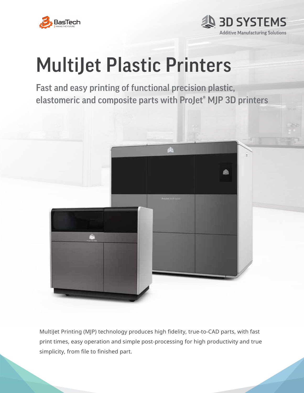



# MultiJet Plastic Printers

Fast and easy printing of functional precision plastic, elastomeric and composite parts with ProJet® MJP 3D printers



MultiJet Printing (MJP) technology produces high fidelity, true-to-CAD parts, with fast print times, easy operation and simple post-processing for high productivity and true simplicity, from file to finished part.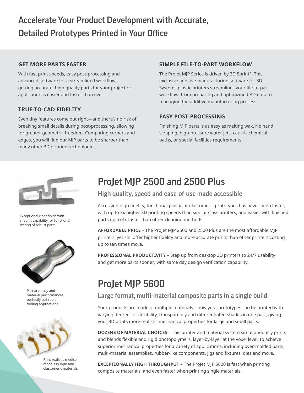## Accelerate Your Product Development with Accurate, Detailed Prototypes Printed in Your Office

### **GET MORE PARTS FASTER**

With fast print speeds, easy post-processing and advanced software for a streamlined workflow, getting accurate, high quality parts for your project or application is easier and faster than ever.

### **TRUE-TO-CAD FIDELITY**

Even tiny features come out right—and there's no risk of breaking small details during post-processing, allowing for greater geometric freedom. Comparing corners and edges, you will find our MJP parts to be sharper than many other 3D printing technologies.

### **SIMPLE FILE-TO-PART WORKFLOW**

The ProJet MJP Series is driven by 3D Sprint®. This exclusive additive manufacturing software for 3D Systems plastic printers streamlines your file-to-part workflow, from preparing and optimizing CAD data to managing the additive manufacturing process.

### **EASY POST-PROCESSING**

Finishing MJP parts is as easy as melting wax. No hand scraping, high-pressure water jets, caustic chemical baths, or special facilities requirements.



Exceptional clear finish with snap fit capability for functional testing of robust parts



Part accuracy and material performances perfectly suit rapid tooling applications



Print realistic medical models in rigid and elastomeric materials

## ProJet MJP 2500 and 2500 Plus

### High quality, speed and ease-of-use made accessible

Accessing high fidelity, functional plastic or elastomeric prototypes has never been faster, with up to 3x higher 3D printing speeds than similar class printers, and easier with finished parts up to 4x faster than other cleaning methods.

**AFFORDABLE PRICE** – The ProJet MJP 2500 and 2500 Plus are the most affordable MJP printers, yet still offer higher fidelity and more accurate prints than other printers costing up to ten times more.

**PROFESSIONAL PRODUCTIVITY** – Step up from desktop 3D printers to 24/7 usability and get more parts sooner, with same day design verification capability.

# ProJet MJP 5600

### Large format, multi-material composite parts in a single build

Your products are made of multiple materials—now your prototypes can be printed with varying degrees of flexibility, transparency and differentiated shades in one part, giving your 3D prints more realistic mechanical properties for large and small parts.

**DOZENS OF MATERIAL CHOICES** – This printer and material system simultaneously prints and blends flexible and rigid photopolymers, layer-by-layer at the voxel level, to achieve superior mechanical properties for a variety of applications, including over-molded parts, multi-material assemblies, rubber-like components, jigs and fixtures, dies and more.

**EXCEPTIONALLY HIGH THROUGHPUT** – The ProJet MJP 5600 is fast when printing composite materials, and even faster when printing single materials.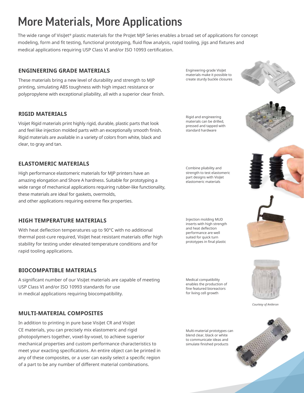# More Materials, More Applications

The wide range of VisiJet® plastic materials for the ProJet MJP Series enables a broad set of applications for concept modeling, form and fit testing, functional prototyping, fluid flow analysis, rapid tooling, jigs and fixtures and medical applications requiring USP Class VI and/or ISO 10993 certification.

### **ENGINEERING GRADE MATERIALS**

These materials bring a new level of durability and strength to MJP printing, simulating ABS toughness with high impact resistance or polypropylene with exceptional pliability, all with a superior clear finish.

### **RIGID MATERIALS**

Visijet Rigid materials print highly rigid, durable, plastic parts that look and feel like injection molded parts with an exceptionally smooth finish. Rigid materials are available in a variety of colors from white, black and clear, to gray and tan.

### **ELASTOMERIC MATERIALS**

High performance elastomeric materials for MJP printers have an amazing elongation and Shore A hardness. Suitable for prototyping a wide range of mechanical applications requiring rubber-like functionality, these materials are ideal for gaskets, overmolds, and other applications requiring extreme flex properties.

### **HIGH TEMPERATURE MATERIALS**

With heat deflection temperatures up to 90°C with no additional thermal post-cure required, VisiJet heat resistant materials offer high stability for testing under elevated temperature conditions and for rapid tooling applications.

### **BIOCOMPATIBLE MATERIALS**

A significant number of our VisiJet materials are capable of meeting USP Class VI and/or ISO 10993 standards for use in medical applications requiring biocompatibility.

### **MULTI-MATERIAL COMPOSITES**

In addition to printing in pure base VisiJet CR and VisiJet CE materials, you can precisely mix elastomeric and rigid photopolymers together, voxel-by-voxel, to achieve superior mechanical properties and custom performance characteristics to meet your exacting specifications. An entire object can be printed in any of these composites, or a user can easily select a specific region of a part to be any number of different material combinations.

Engineering-grade VisiJet materials make it possible to create sturdy buckle closures



Rigid and engineering materials can be drilled, pressed and tapped with standard hardware

Combine pliability and strength to test elastomeric part designs with VisiJet elastomeric materials

Injection molding MUD inserts with high strength and heat deflection performance are well suited for quick turn prototypes in final plastic

Medical compatibility enables the production of fine featured bioreactors for living cell growth

Multi-material prototypes can blend clear, black or white to communicate ideas and simulate finished products





*Courtesy of Antleron*